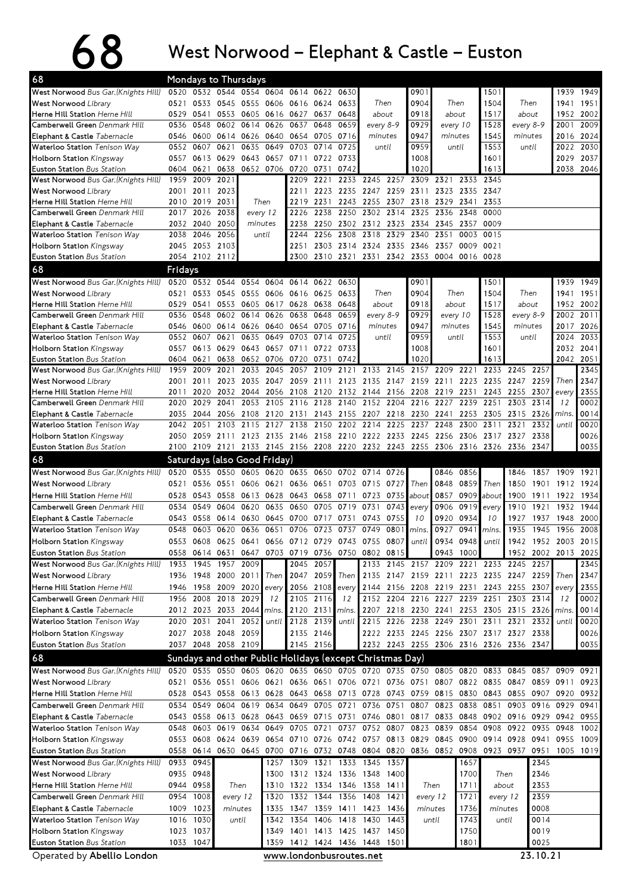## 68 West Norwood – Elephant & Castle – Euston

|                                                                       |              |                                            |                                  | Mondays to Thursdays |                     |                          |                        |              |                                                             |              |                               |              |                  |                                                                                                                                                                         |              |                |                     |              |
|-----------------------------------------------------------------------|--------------|--------------------------------------------|----------------------------------|----------------------|---------------------|--------------------------|------------------------|--------------|-------------------------------------------------------------|--------------|-------------------------------|--------------|------------------|-------------------------------------------------------------------------------------------------------------------------------------------------------------------------|--------------|----------------|---------------------|--------------|
| West Norwood Bus Gar. (Knights Hill)                                  | 0520         |                                            | 0532 0544 0554 0604 0614 0622    |                      |                     |                          |                        | 0630         |                                                             |              | 0901                          |              |                  | 1501                                                                                                                                                                    |              |                | 1939                | 1949         |
| <b>West Norwood Library</b>                                           | 0521         | 0533                                       | 0545                             | 0555                 | 0606 0616           |                          | 0624                   | 0633         |                                                             | Then         | 0904                          |              | Then             | 1504                                                                                                                                                                    | Then         |                | 1941                | 1951         |
| Herne Hill Station Herne Hill                                         | 0529         | 0541                                       |                                  | 0553 0605            |                     | 0616 0627 0637           |                        | 0648         | about                                                       |              | 0918                          |              | about            | 1517                                                                                                                                                                    | about        |                | 1952                | 2002         |
| Camberwell Green Denmark Hill                                         | 0536         | 0548                                       | 0602                             | 0614                 | 0626                | 0637                     | 0648                   | 0659         |                                                             | every 8-9    | 0929                          |              | every 10         | 1528                                                                                                                                                                    |              | every 8-9      | 2001                | 2009         |
| Elephant & Castle Tabernacle<br>Waterloo Station Tenison Way          | 0546<br>0552 | 0607                                       | 0600 0614 0626 0640 0654<br>0621 | 0635                 | 0649                | 0703                     | 0705<br>0714           | 0716<br>0725 | minutes                                                     | until        | 0947<br>0959                  |              | minutes<br>until | 1545<br>1553                                                                                                                                                            | minutes      | until          | 2016 2024<br>2022   | 2030         |
| Holborn Station Kingsway                                              | 0557         |                                            | 0613 0629                        | 0643                 | 0657                | 0711                     | 0722                   | 0733         |                                                             |              | 1008                          |              |                  | 1601                                                                                                                                                                    |              |                | 2029                | 2037         |
| Euston Station Bus Station                                            | 0604         | 0621                                       | 0638                             |                      | 0652 0706 0720      |                          | 0731                   | 0742         |                                                             |              | 1020                          |              |                  | 1613                                                                                                                                                                    |              |                |                     | 2038 2046    |
| West Norwood Bus Gar. (Knights Hill)                                  | 1959         | 2009                                       | 2021                             |                      |                     | 2209                     | 2221                   |              | 2233 2245                                                   | 2257         | 2309                          | 2321         | 2333             | 2345                                                                                                                                                                    |              |                |                     |              |
| <b>West Norwood Library</b>                                           |              | 2001 2011                                  | 2023                             |                      |                     | 2211                     | 2223                   |              | 2235 2247 2259 2311                                         |              |                               | 2323         | 2335             | 2347                                                                                                                                                                    |              |                |                     |              |
| <b>Herne Hill Station Herne Hill</b>                                  | 2010         | 2019 2031                                  |                                  |                      | Then                | 2219                     | 2231                   |              | 2243 2255                                                   |              | 2307 2318                     | 2329         | 2341             | 2353                                                                                                                                                                    |              |                |                     |              |
| Camberwell Green Denmark Hill                                         | 2017         | 2026                                       | 2038                             |                      | every 12            | 2226                     | 2238                   |              | 2250 2302                                                   | 2314         | 2325                          | 2336         | 2348             | 0000                                                                                                                                                                    |              |                |                     |              |
| Elephant & Castle Tabernacle                                          |              | 2032 2040<br>2046                          | 2050<br>2056                     |                      | minutes<br>until    | 2238<br>2244             | 2250<br>2256           | 2308         | 2302 2312<br>2318                                           | 2329         | 2323 2334 2345 2357<br>2340   | 2351         | 0003             | 0009<br>0015                                                                                                                                                            |              |                |                     |              |
| Waterloo Station Tenison Way<br>Holborn Station Kingsway              | 2038<br>2045 | 2053 2103                                  |                                  |                      |                     | 2251                     | 2303                   |              | 2314 2324                                                   |              | 2335 2346                     | 2357         | 0009             | 0021                                                                                                                                                                    |              |                |                     |              |
| Euston Station Bus Station                                            |              | 2054 2102 2112                             |                                  |                      |                     | 2300                     |                        |              | 2310 2321 2331 2342 2353 0004                               |              |                               |              | 0016 0028        |                                                                                                                                                                         |              |                |                     |              |
| 68                                                                    | Fridays      |                                            |                                  |                      |                     |                          |                        |              |                                                             |              |                               |              |                  |                                                                                                                                                                         |              |                |                     |              |
| West Norwood Bus Gar. (Knights Hill)                                  |              | 0520 0532 0544 0554 0604 0614 0622 0630    |                                  |                      |                     |                          |                        |              |                                                             |              | 0901                          |              |                  | 1501                                                                                                                                                                    |              |                |                     | 1939 1949    |
| <b>West Norwood Library</b>                                           | 0521         | 0533                                       | 0545                             | 0555                 |                     | 0606 0616                | 0625                   | 0633         |                                                             | Then         | 0904                          |              | Then             | 1504                                                                                                                                                                    |              | Then           | 1941                | 1951         |
| Herne Hill Station Herne Hill                                         | 0529         | 0541                                       | 0553                             | 0605<br>0617 0628    |                     |                          | 0638                   | 0648         | about                                                       |              | 0918                          |              | about            | 1517                                                                                                                                                                    | about        |                | 1952                | 2002         |
| Camberwell Green Denmark Hill                                         | 0536         | 0548                                       | 0602                             | 0614<br>0626         |                     | 0638                     | 0648                   | 0659         | every 8-9                                                   |              | 0929                          |              | every 10         | 1528                                                                                                                                                                    | every 8-9    |                | 2002                | 2011         |
| Elephant & Castle Tabernacle                                          | 0546         | 0600                                       |                                  | 0614 0626            |                     | 0640 0654                | 0705                   | 0716         | minutes                                                     |              | 0947                          |              | minutes          | 1545                                                                                                                                                                    | minutes      |                | 2017                | 2026         |
| Waterloo Station Tenison Way                                          | 0552         | 0607                                       | 0621                             | 0635                 | 0649                | 0703                     | 0714                   | 0725         |                                                             | until        | 0959                          |              | until            | 1553                                                                                                                                                                    |              | until          | 2024                | 2033         |
| <b>Holborn Station Kingsway</b><br>Euston Station Bus Station         | 0557<br>0604 | 0613<br>0621                               | 0629<br>0638                     | 0643                 | 0652 0706 0720      | 0657 0711                | 0722<br>0731           | 0733<br>0742 |                                                             |              | 1008<br>1020                  |              |                  | 1601<br>1613                                                                                                                                                            |              |                | 2032<br>2042 2051   | 2041         |
| West Norwood Bus Gar. (Knights Hill)                                  | 1959         | 2009                                       | 2021                             | 2033                 | 2045                | 2057                     | 2109                   | 2121         | 2133                                                        | 2145         | 2157                          | 2209         | 2221             | 2233                                                                                                                                                                    | 2245         | 2257           |                     | 2345         |
| <b>West Norwood Library</b>                                           | 2001         | 2011                                       | 2023                             | 2035                 | 2047                | 2059                     | 2111                   |              | 2123 2135                                                   | 2147         | 2159                          | 2211         | 2223             | 2235                                                                                                                                                                    | 2247         | 2259           | Then                | 2347         |
| Herne Hill Station Herne Hill                                         | 2011         | 2020                                       | 2032                             | 2044                 |                     | 2056 2108                | 2120                   |              | 2132 2144                                                   |              | 2156 2208                     | 2219         | 2231             | 2243                                                                                                                                                                    | 2255         | 2307           | every               | 2355         |
| Camberwell Green Denmark Hill                                         | 2020         | 2029                                       | 2041                             | 2053                 |                     | 2105 2116                | 2128                   | 2140         | 2152                                                        | 2204         |                               | 2216 2227    | 2239             | 2251                                                                                                                                                                    | 2303         | 2314           | 12                  | 0002         |
| Elephant & Castle Tabernacle                                          | 2035         | 2044                                       |                                  |                      | 2056 2108 2120 2131 |                          | 2143                   |              | 2155 2207 2218 2230 2241                                    |              |                               |              | 2253             | 2305                                                                                                                                                                    | 2315         | 2326           | <i>mins</i>         | 0014         |
| Waterloo Station Tenison Way                                          | 2042         | 2051                                       | 2103                             | 2115                 | 2127                | 2138                     | 2150                   |              | 2202 2214                                                   | 2225         | 2237                          | 2248         | 2300             | 2311                                                                                                                                                                    | 2321         | 2332           | until               | 0020         |
| Holborn Station Kingsway<br>Euston Station Bus Station                | 2050         |                                            |                                  |                      |                     |                          |                        |              | 2059 2111 2123 2135 2146 2158 2210 2222 2233 2245 2256 2306 |              |                               |              |                  | 2317 2327 2338<br>2100 2109 2121 2133 2145 2156 2208 2220 2232 2243 2255 2306 2316 2326 2336 2347                                                                       |              |                |                     | 0026<br>0035 |
| 68                                                                    |              | Saturdays (also Good Friday)               |                                  |                      |                     |                          |                        |              |                                                             |              |                               |              |                  |                                                                                                                                                                         |              |                |                     |              |
| West Norwood Bus Gar. (Knights Hill)                                  | 0520         |                                            | 0535 0550                        |                      | 0605 0620 0635 0650 |                          |                        |              | 0702 0714 0726                                              |              |                               | 0846         | 0856             |                                                                                                                                                                         | 1846         |                | 1857 1909 1921      |              |
|                                                                       |              |                                            |                                  |                      |                     |                          |                        |              |                                                             |              |                               |              |                  |                                                                                                                                                                         |              |                |                     |              |
|                                                                       |              |                                            |                                  |                      |                     |                          |                        |              |                                                             |              |                               |              |                  |                                                                                                                                                                         |              |                |                     |              |
| <b>West Norwood Library</b>                                           | 0521         |                                            | 0536 0551                        |                      | 0606 0621           | 0636 0651                |                        |              | 0703 0715                                                   | 0727         | Then                          | 0848         | 0859             | Then                                                                                                                                                                    | 1850         | 1901           | 1912                | 1924         |
| <b>Herne Hill Station Herne Hill</b><br>Camberwell Green Denmark Hill | 0528<br>0534 | 0549                                       | 0543 0558<br>0604                | 0613<br>0620         | 0628<br>0635        | 0643 0658<br>0650        | 0705                   | 0719 0731    | 0711 0723                                                   | 0735<br>0743 | about<br>every                | 0857<br>0906 | 0909<br>0919     | about<br>every                                                                                                                                                          | 1900<br>1910 | 1911<br>1921   | 1922<br>1932        | 1934<br>1944 |
| Elephant & Castle Tabernacle                                          | 0543         | 0558                                       | 0614                             | 0630                 |                     | 0645 0700                | 0717                   | 0731         | 0743                                                        | 0755         | 10                            | 0920         | 0934             | 10                                                                                                                                                                      | 1927         | 1937           | 1948                | 2000         |
| Waterloo Station Tenison Way                                          | 0548         | 0603                                       | 0620                             | 0636                 | 0651                | 0706                     | 0723                   | 0737         | 0749                                                        | 0801         | mins.                         | 0927         | 0941             | mins.                                                                                                                                                                   | 1935         | 1945           | 1956                | 2008         |
| <b>Holborn Station Kingsway</b>                                       | 0553         | 0608                                       | 0625 0641                        |                      |                     | 0656 0712 0729           |                        |              | 0743 0755                                                   | 0807         | until                         | 0934         | 0948             | until                                                                                                                                                                   | 1942         | 1952           | 2003                | 2015         |
| Euston Station Bus Station                                            |              | 0558 0614 0631 0647                        |                                  |                      |                     |                          |                        |              | 0703 0719 0736 0750 0802 0815                               |              |                               |              | 0943 1000        |                                                                                                                                                                         |              |                | 1952 2002 2013 2025 |              |
| West Norwood Bus Gar. (Knights Hill)                                  | 1933         |                                            | 1945 1957 2009                   |                      |                     | 2045                     | 2057                   |              |                                                             |              |                               |              |                  | 2133 2145 2157 2209 2221 2233 2245 2257                                                                                                                                 |              |                |                     | 2345         |
| West Norwood Library                                                  |              | 1936 1948 2000 2011                        |                                  |                      | Then                |                          | 2047 2059              | Then         |                                                             |              |                               |              |                  | 2135 2147 2159 2211 2223 2235 2247 2259 Then                                                                                                                            |              |                |                     | 2347         |
| Herne Hill Station Herne Hill                                         |              | 1946 1958 2009 2020                        |                                  |                      | every               |                          | 2056 2108              | every        | 2144                                                        |              |                               |              |                  | 2156 2208 2219 2231 2243 2255 2307 every                                                                                                                                |              |                |                     | 2355         |
| Camberwell Green Denmark Hill                                         |              | 1956 2008 2018 2029                        |                                  |                      | 12                  |                          | 2105 2116              | 12           |                                                             |              | 2152 2204 2216 2227 2239 2251 |              |                  |                                                                                                                                                                         | 2303 2314    |                | 12                  | 0002         |
| Elephant & Castle Tabernacle                                          |              | 2012 2023 2033 2044                        |                                  |                      | mins.               |                          | 2120 2131              | mins.        |                                                             |              |                               |              |                  | 2207 2218 2230 2241 2253 2305 2315 2326 mins                                                                                                                            |              |                |                     | 0014         |
| Waterloo Station Tenison Way                                          |              | 2020 2031                                  |                                  | 2041 2052            | until               | 2128                     | 2139                   | until        | 2215                                                        |              |                               |              |                  | 2226 2238 2249 2301 2311 2321 2332                                                                                                                                      |              |                | until               | 0020         |
| Holborn Station Kingsway<br>Euston Station Bus Station                |              | 2027 2038 2048 2059<br>2037 2048 2058 2109 |                                  |                      |                     |                          | 2135 2146<br>2145 2156 |              |                                                             |              |                               |              |                  | 2222 2233 2245 2256 2307 2317 2327 2338                                                                                                                                 |              |                |                     | 0026<br>0035 |
|                                                                       |              |                                            |                                  |                      |                     |                          |                        |              |                                                             |              |                               |              |                  | 2232 2243 2255 2306 2316 2326 2336 2347                                                                                                                                 |              |                |                     |              |
| 68                                                                    |              |                                            |                                  |                      |                     |                          |                        |              | Sundays and other Public Holidays (except Christmas Day)    |              |                               |              |                  |                                                                                                                                                                         |              |                |                     |              |
| West Norwood Bus Gar. (Knights Hill)                                  | 0521         |                                            |                                  |                      |                     |                          |                        |              |                                                             |              |                               |              |                  | 0520 0535 0550 0605 0620 0635 0650 0705 0720 0735 0750 0805 0820 0833 0845 0857 0909<br>0536 0551 0606 0621 0636 0651 0706 0721 0736 0751 0807 0822 0835 0847 0859 0911 |              |                |                     | 0921<br>0923 |
| <b>West Norwood Library</b><br>Herne Hill Station Herne Hill          |              |                                            |                                  |                      |                     |                          |                        |              | 0528 0543 0558 0613 0628 0643 0658 0713 0728                |              |                               |              |                  | 0743 0759 0815 0830 0843 0855 0907 0920                                                                                                                                 |              |                |                     | 0932         |
| Camberwell Green Denmark Hill                                         |              | 0534 0549 0604 0619                        |                                  |                      |                     |                          |                        |              | 0634 0649 0705 0721 0736                                    |              | 0751 0807                     | 0823         | 0838             | 0851                                                                                                                                                                    |              | 0903 0916 0929 |                     | 0941         |
| Elephant & Castle Tabernacle                                          |              | 0543 0558 0613 0628                        |                                  |                      |                     | 0643 0659 0715 0731      |                        |              |                                                             |              | 0746 0801 0817 0833 0848      |              |                  | 0902 0916 0929 0942                                                                                                                                                     |              |                |                     | 0955         |
| Waterloo Station Tenison Way                                          | 0548         |                                            | 0603 0619                        | 0634                 |                     |                          |                        |              | 0649 0705 0721 0737 0752 0807                               |              |                               | 0823 0839    |                  | 0854 0908                                                                                                                                                               | 0922 0935    |                | 0948                | 1002         |
| Holborn Station Kingsway                                              |              | 0553 0608 0624 0639                        |                                  |                      |                     |                          |                        |              |                                                             |              |                               |              |                  | 0654 0710 0726 0742 0757 0813 0829 0845 0900 0914 0928 0941                                                                                                             |              |                | 0955                | 1009         |
| Euston Station Bus Station                                            |              |                                            |                                  |                      |                     |                          |                        |              |                                                             |              |                               |              |                  | 0558 0614 0630 0645 0700 0716 0732 0748 0804 0820 0836 0852 0908 0923 0937 0951                                                                                         |              |                |                     | 1005 1019    |
| West Norwood Bus Gar. (Knights Hill)                                  |              | 0933 0945                                  |                                  |                      |                     |                          |                        |              | 1257 1309 1321 1333 1345                                    | 1357         |                               |              | 1657             |                                                                                                                                                                         |              | 2345           |                     |              |
| <b>West Norwood Library</b>                                           |              | 0935 0948                                  |                                  |                      | 1300                | 1312 1324 1336 1348      |                        |              |                                                             | 1400         |                               |              | 1700             | Then                                                                                                                                                                    |              | 2346           |                     |              |
| Herne Hill Station Herne Hill                                         |              | 0944 0958                                  |                                  | Then                 |                     |                          |                        |              | 1310 1322 1334 1346 1358                                    | 1411         |                               | Then         | 1711             |                                                                                                                                                                         | about        | 2353           |                     |              |
| Camberwell Green Denmark Hill                                         |              | 0954 1008                                  |                                  | every 12             | 1320                |                          | 1332 1344 1356 1408    |              |                                                             | 1421         |                               | every 12     | 1721             |                                                                                                                                                                         | every 12     | 2359           |                     |              |
| Elephant & Castle Tabernacle                                          | 1009         | 1023                                       |                                  | minutes              |                     |                          |                        |              | 1335 1347 1359 1411 1423                                    | 1436         |                               | minutes      | 1736             |                                                                                                                                                                         | minutes      | 0008           |                     |              |
| Waterloo Station Tenison Way<br>Holborn Station Kingsway              |              | 1016 1030<br>1023 1037                     |                                  | until                | 1342                | 1349 1401 1413 1425 1437 |                        |              | 1354 1406 1418 1430                                         | 1443<br>1450 |                               | until        | 1743<br>1750     |                                                                                                                                                                         | until        | 0014<br>0019   |                     |              |

Operated by Abellio London

www.londonbusroutes.net 23.10.21